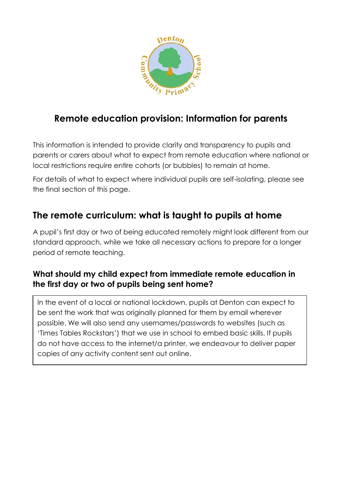

### **Remote education provision: Information for parents**

This information is intended to provide clarity and transparency to pupils and parents or carers about what to expect from remote education where national or local restrictions require entire cohorts (or bubbles) to remain at home.

For details of what to expect where individual pupils are self-isolating, please see the final section of this page.

### **The remote curriculum: what is taught to pupils at home**

A pupil's first day or two of being educated remotely might look different from our standard approach, while we take all necessary actions to prepare for a longer period of remote teaching.

### **What should my child expect from immediate remote education in the first day or two of pupils being sent home?**

In the event of a local or national lockdown, pupils at Denton can expect to be sent the work that was originally planned for them by email wherever possible. We will also send any usernames/passwords to websites (such as 'Times Tables Rockstars') that we use in school to embed basic skills. If pupils do not have access to the internet/a printer, we endeavour to deliver paper copies of any activity content sent out online.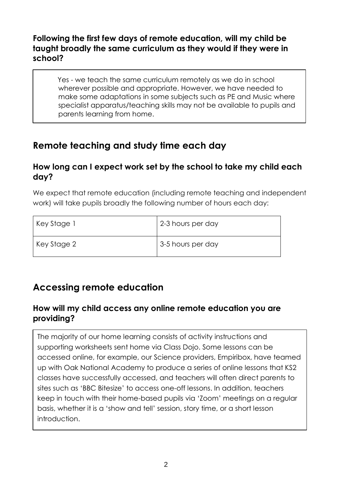**Following the first few days of remote education, will my child be taught broadly the same curriculum as they would if they were in school?**

 Yes - we teach the same curriculum remotely as we do in school wherever possible and appropriate. However, we have needed to make some adaptations in some subjects such as PE and Music where specialist apparatus/teaching skills may not be available to pupils and parents learning from home.

# **Remote teaching and study time each day**

#### **How long can I expect work set by the school to take my child each day?**

We expect that remote education (including remote teaching and independent work) will take pupils broadly the following number of hours each day:

| Key Stage 1 | 2-3 hours per day |
|-------------|-------------------|
| Key Stage 2 | 3-5 hours per day |

### **Accessing remote education**

#### **How will my child access any online remote education you are providing?**

The majority of our home learning consists of activity instructions and supporting worksheets sent home via Class Dojo. Some lessons can be accessed online, for example, our Science providers, Empiribox, have teamed up with Oak National Academy to produce a series of online lessons that KS2 classes have successfully accessed, and teachers will often direct parents to sites such as 'BBC Bitesize' to access one-off lessons. In addition, teachers keep in touch with their home-based pupils via 'Zoom' meetings on a regular basis, whether it is a 'show and tell' session, story time, or a short lesson introduction.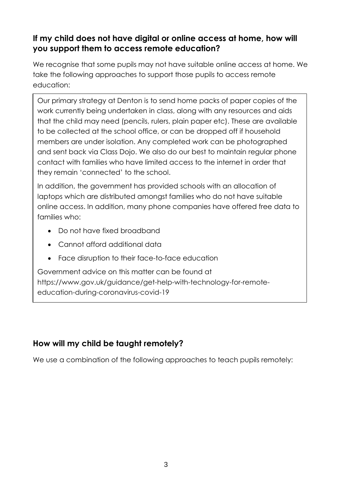### **If my child does not have digital or online access at home, how will you support them to access remote education?**

We recognise that some pupils may not have suitable online access at home. We take the following approaches to support those pupils to access remote education:

Our primary strategy at Denton is to send home packs of paper copies of the work currently being undertaken in class, along with any resources and aids that the child may need (pencils, rulers, plain paper etc). These are available to be collected at the school office, or can be dropped off if household members are under isolation. Any completed work can be photographed and sent back via Class Dojo. We also do our best to maintain regular phone contact with families who have limited access to the internet in order that they remain 'connected' to the school.

In addition, the government has provided schools with an allocation of laptops which are distributed amongst families who do not have suitable online access. In addition, many phone companies have offered free data to families who:

- Do not have fixed broadband
- Cannot afford additional data
- Face disruption to their face-to-face education

Government advice on this matter can be found at [https://www.gov.uk/guidance/get-help-with-technology-for-remote](https://www.gov.uk/guidance/get-help-with-technology-for-remote-education-during-coronavirus-covid-19)[education-during-coronavirus-covid-19](https://www.gov.uk/guidance/get-help-with-technology-for-remote-education-during-coronavirus-covid-19)

### **How will my child be taught remotely?**

We use a combination of the following approaches to teach pupils remotely: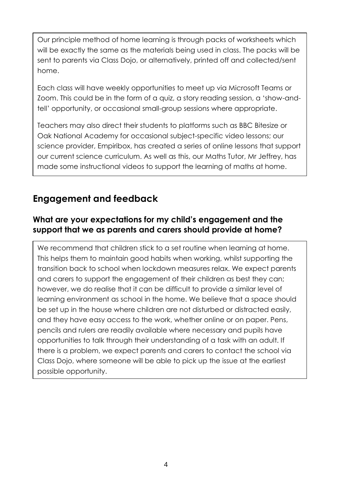Our principle method of home learning is through packs of worksheets which will be exactly the same as the materials being used in class. The packs will be sent to parents via Class Dojo, or alternatively, printed off and collected/sent home.

Each class will have weekly opportunities to meet up via Microsoft Teams or Zoom. This could be in the form of a quiz, a story reading session, a 'show-andtell' opportunity, or occasional small-group sessions where appropriate.

Teachers may also direct their students to platforms such as BBC Bitesize or Oak National Academy for occasional subject-specific video lessons; our science provider, Empiribox, has created a series of online lessons that support our current science curriculum. As well as this, our Maths Tutor, Mr Jeffrey, has made some instructional videos to support the learning of maths at home.

# **Engagement and feedback**

#### **What are your expectations for my child's engagement and the support that we as parents and carers should provide at home?**

We recommend that children stick to a set routine when learning at home. This helps them to maintain good habits when working, whilst supporting the transition back to school when lockdown measures relax. We expect parents and carers to support the engagement of their children as best they can; however, we do realise that it can be difficult to provide a similar level of learning environment as school in the home. We believe that a space should be set up in the house where children are not disturbed or distracted easily, and they have easy access to the work, whether online or on paper. Pens, pencils and rulers are readily available where necessary and pupils have opportunities to talk through their understanding of a task with an adult. If there is a problem, we expect parents and carers to contact the school via Class Dojo, where someone will be able to pick up the issue at the earliest possible opportunity.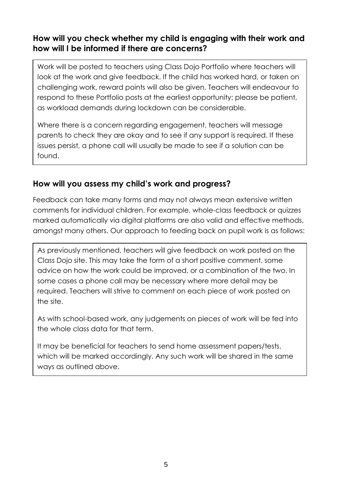### **How will you check whether my child is engaging with their work and how will I be informed if there are concerns?**

Work will be posted to teachers using Class Dojo Portfolio where teachers will look at the work and give feedback. If the child has worked hard, or taken on challenging work, reward points will also be given. Teachers will endeavour to respond to these Portfolio posts at the earliest opportunity; please be patient, as workload demands during lockdown can be considerable.

Where there is a concern regarding engagement, teachers will message parents to check they are okay and to see if any support is required. If these issues persist, a phone call will usually be made to see if a solution can be found.

#### **How will you assess my child's work and progress?**

Feedback can take many forms and may not always mean extensive written comments for individual children. For example, whole-class feedback or quizzes marked automatically via digital platforms are also valid and effective methods, amongst many others. Our approach to feeding back on pupil work is as follows:

As previously mentioned, teachers will give feedback on work posted on the Class Dojo site. This may take the form of a short positive comment, some advice on how the work could be improved, or a combination of the two. In some cases a phone call may be necessary where more detail may be required. Teachers will strive to comment on each piece of work posted on the site.

As with school-based work, any judgements on pieces of work will be fed into the whole class data for that term.

It may be beneficial for teachers to send home assessment papers/tests, which will be marked accordingly. Any such work will be shared in the same ways as outlined above.